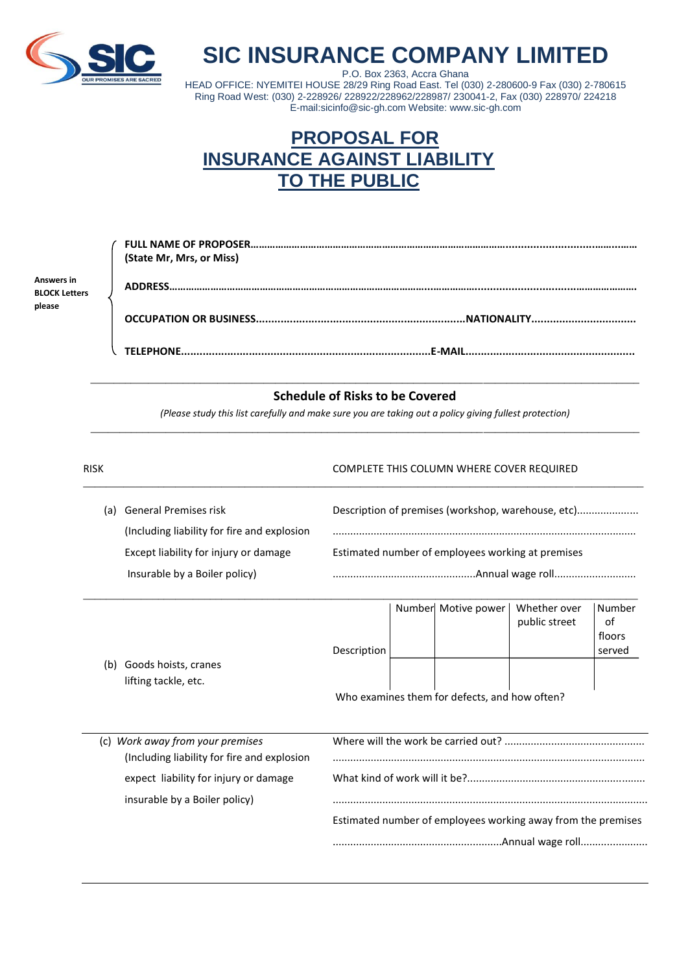

## **SIC INSURANCE COMPANY LIMITED**

P.O. Box 2363, Accra Ghana HEAD OFFICE: NYEMITEI HOUSE 28/29 Ring Road East. Tel (030) 2-280600-9 Fax (030) 2-780615 Ring Road West: (030) 2-228926/ 228922/228962/228987/ 230041-2, Fax (030) 228970/ 224218 E-mail:sicinfo@sic-gh.com Website: www.sic-gh.com

## **PROPOSAL FOR INSURANCE AGAINST LIABILITY TO THE PUBLIC**

|                                    | (State Mr, Mrs, or Miss)            |
|------------------------------------|-------------------------------------|
| Answers in<br><b>BLOCK Letters</b> |                                     |
| please                             |                                     |
|                                    | <b>TFI FPHONE.</b><br><b>F-MAIL</b> |

RISK RISK COMPLETE THIS COLUMN WHERE COVER REQUIRED

## \_\_\_\_\_\_\_\_\_\_\_\_\_\_\_\_\_\_\_\_\_\_\_\_\_\_\_\_\_\_\_\_\_\_\_\_\_\_\_\_\_\_\_\_\_\_\_\_\_\_\_\_\_\_\_\_\_\_\_\_\_\_\_\_\_\_\_\_\_\_\_\_\_\_\_\_\_\_\_\_\_\_\_\_\_\_\_\_\_\_\_\_\_\_\_ **Schedule of Risks to be Covered**

*(Please study this list carefully and make sure you are taking out a policy giving fullest protection)* \_\_\_\_\_\_\_\_\_\_\_\_\_\_\_\_\_\_\_\_\_\_\_\_\_\_\_\_\_\_\_\_\_\_\_\_\_\_\_\_\_\_\_\_\_\_\_\_\_\_\_\_\_\_\_\_\_\_\_\_\_\_\_\_\_\_\_\_\_\_\_\_\_\_\_\_\_\_\_\_\_\_\_\_\_\_\_\_\_\_\_\_\_\_\_

| (a) | General Premises risk                       | Description of premises (workshop, warehouse, etc) |
|-----|---------------------------------------------|----------------------------------------------------|
|     | (Including liability for fire and explosion |                                                    |
|     | Except liability for injury or damage       | Estimated number of employees working at premises  |
|     | Insurable by a Boiler policy)               |                                                    |
|     |                                             |                                                    |

|                                               |                      |  |  | Number Motive power | Whether over  | Number |
|-----------------------------------------------|----------------------|--|--|---------------------|---------------|--------|
|                                               |                      |  |  |                     | public street | оf     |
|                                               |                      |  |  |                     |               | floors |
|                                               | Description          |  |  |                     |               | served |
| (b)                                           | Goods hoists, cranes |  |  |                     |               |        |
|                                               | lifting tackle, etc. |  |  |                     |               |        |
| Who examines them for defects, and how often? |                      |  |  |                     |               |        |

| (c) Work away from your premises             |                                                              |
|----------------------------------------------|--------------------------------------------------------------|
| (Including liability for fire and explosion) |                                                              |
| expect liability for injury or damage        |                                                              |
|                                              |                                                              |
| insurable by a Boiler policy)                |                                                              |
|                                              | Estimated number of employees working away from the premises |
|                                              |                                                              |
|                                              |                                                              |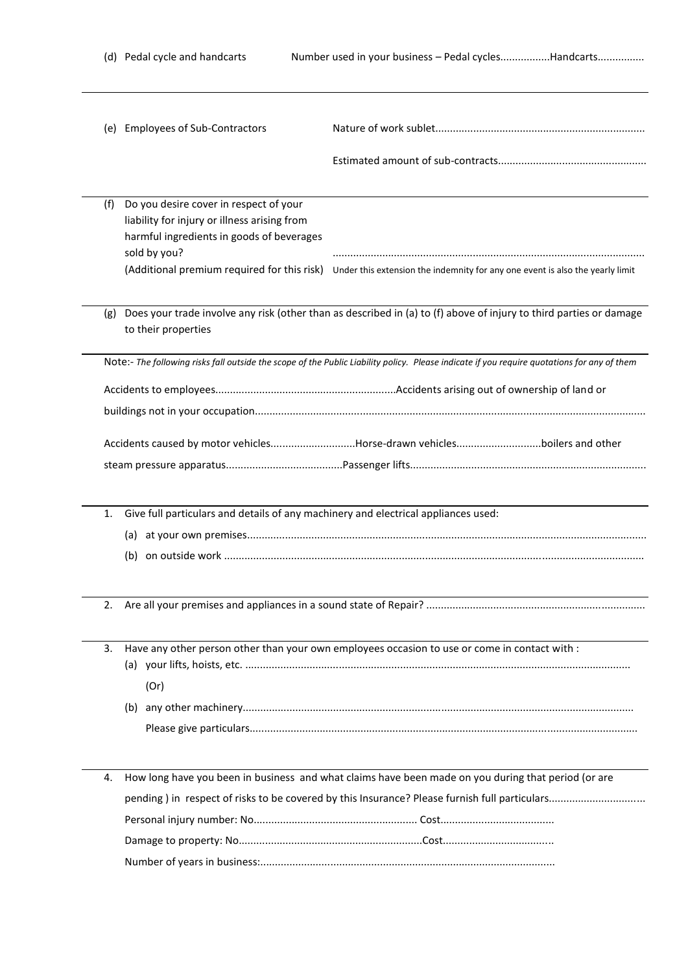|     | (e) Employees of Sub-Contractors                                                                                                                    |                                                                                                                                             |  |  |  |  |  |
|-----|-----------------------------------------------------------------------------------------------------------------------------------------------------|---------------------------------------------------------------------------------------------------------------------------------------------|--|--|--|--|--|
|     |                                                                                                                                                     |                                                                                                                                             |  |  |  |  |  |
| (f) | Do you desire cover in respect of your<br>liability for injury or illness arising from<br>harmful ingredients in goods of beverages<br>sold by you? |                                                                                                                                             |  |  |  |  |  |
|     |                                                                                                                                                     | (Additional premium required for this risk) Under this extension the indemnity for any one event is also the yearly limit                   |  |  |  |  |  |
| (g) | to their properties                                                                                                                                 | Does your trade involve any risk (other than as described in (a) to (f) above of injury to third parties or damage                          |  |  |  |  |  |
|     |                                                                                                                                                     | Note:- The following risks fall outside the scope of the Public Liability policy. Please indicate if you require quotations for any of them |  |  |  |  |  |
|     |                                                                                                                                                     |                                                                                                                                             |  |  |  |  |  |
|     |                                                                                                                                                     |                                                                                                                                             |  |  |  |  |  |
|     |                                                                                                                                                     |                                                                                                                                             |  |  |  |  |  |
|     |                                                                                                                                                     | Accidents caused by motor vehiclesHorse-drawn vehiclesboilers and other                                                                     |  |  |  |  |  |
|     |                                                                                                                                                     |                                                                                                                                             |  |  |  |  |  |
|     |                                                                                                                                                     |                                                                                                                                             |  |  |  |  |  |
| 1.  | Give full particulars and details of any machinery and electrical appliances used:                                                                  |                                                                                                                                             |  |  |  |  |  |
|     | (a)                                                                                                                                                 |                                                                                                                                             |  |  |  |  |  |
|     | (b)                                                                                                                                                 |                                                                                                                                             |  |  |  |  |  |
| 2.  |                                                                                                                                                     |                                                                                                                                             |  |  |  |  |  |
| 3.  |                                                                                                                                                     | Have any other person other than your own employees occasion to use or come in contact with :                                               |  |  |  |  |  |
|     |                                                                                                                                                     |                                                                                                                                             |  |  |  |  |  |
|     | (Or)                                                                                                                                                |                                                                                                                                             |  |  |  |  |  |
|     |                                                                                                                                                     |                                                                                                                                             |  |  |  |  |  |
|     |                                                                                                                                                     |                                                                                                                                             |  |  |  |  |  |
| 4.  |                                                                                                                                                     | How long have you been in business and what claims have been made on you during that period (or are                                         |  |  |  |  |  |
|     |                                                                                                                                                     |                                                                                                                                             |  |  |  |  |  |
|     |                                                                                                                                                     |                                                                                                                                             |  |  |  |  |  |
|     |                                                                                                                                                     |                                                                                                                                             |  |  |  |  |  |
|     |                                                                                                                                                     |                                                                                                                                             |  |  |  |  |  |